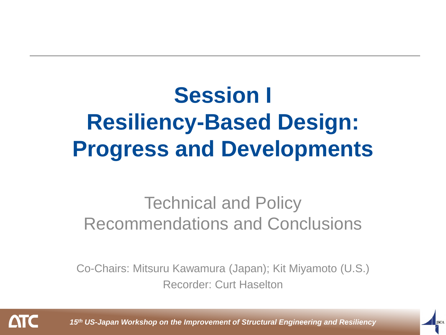## **Session I Resiliency-Based Design: Progress and Developments**

#### Technical and Policy Recommendations and Conclusions

Co-Chairs: Mitsuru Kawamura (Japan); Kit Miyamoto (U.S.) Recorder: Curt Haselton

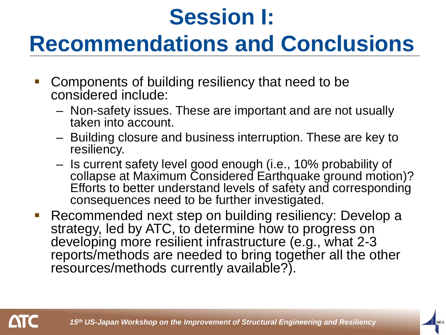### **Recommendations and Conclusions**

- Components of building resiliency that need to be considered include:
	- Non-safety issues. These are important and are not usually taken into account.
	- Building closure and business interruption. These are key to resiliency.
	- Is current safety level good enough (i.e., 10% probability of collapse at Maximum Considered Earthquake ground motion)? Efforts to better understand levels of safety and corresponding consequences need to be further investigated.
- **Recommended next step on building resiliency: Develop a** strategy, led by ATC, to determine how to progress on developing more resilient infrastructure (e.g., what 2-3 reports/methods are needed to bring together all the other resources/methods currently available?).

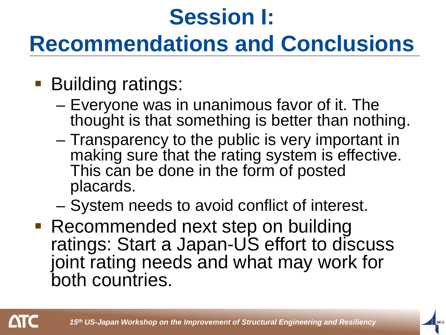### **Recommendations and Conclusions**

- **Building ratings:** 
	- Everyone was in unanimous favor of it. The thought is that something is better than nothing.
	- Transparency to the public is very important in making sure that the rating system is effective. This can be done in the form of posted placards.
	- System needs to avoid conflict of interest.
- Recommended next step on building ratings: Start a Japan-US effort to discuss joint rating needs and what may work for both countries.

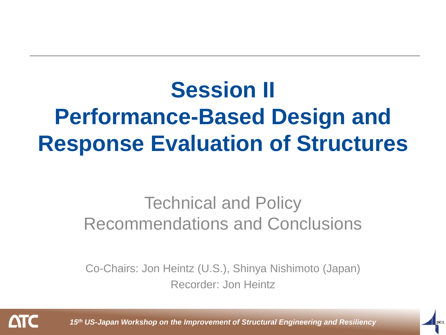# **Session II Performance-Based Design and Response Evaluation of Structures**

#### Technical and Policy Recommendations and Conclusions

Co-Chairs: Jon Heintz (U.S.), Shinya Nishimoto (Japan) Recorder: Jon Heintz

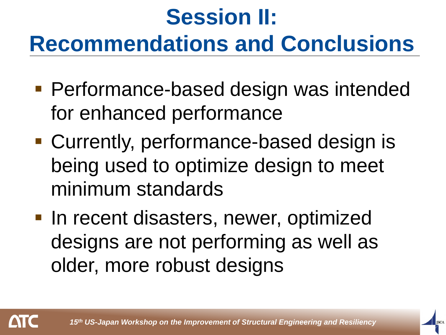# **Session II: Recommendations and Conclusions**

- **Performance-based design was intended** for enhanced performance
- Currently, performance-based design is being used to optimize design to meet minimum standards
- **In recent disasters, newer, optimized** designs are not performing as well as older, more robust designs

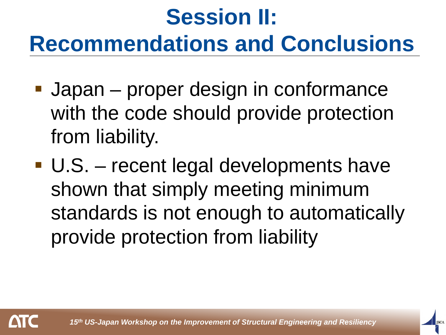# **Session II: Recommendations and Conclusions**

- **Japan** proper design in conformance with the code should provide protection from liability.
- U.S. recent legal developments have shown that simply meeting minimum standards is not enough to automatically provide protection from liability

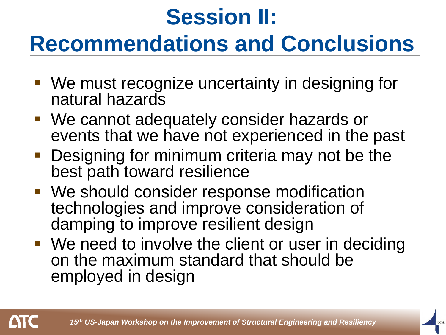### **Recommendations and Conclusions**

- We must recognize uncertainty in designing for natural hazards
- We cannot adequately consider hazards or events that we have not experienced in the past
- Designing for minimum criteria may not be the best path toward resilience
- We should consider response modification technologies and improve consideration of damping to improve resilient design
- **We need to involve the client or user in deciding** on the maximum standard that should be employed in design

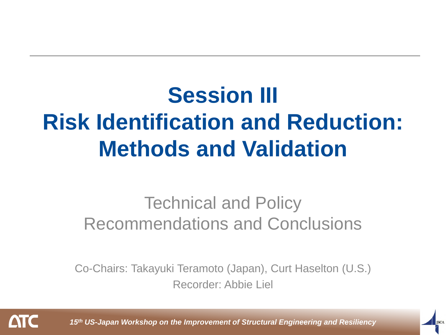# **Session III Risk Identification and Reduction: Methods and Validation**

#### Technical and Policy Recommendations and Conclusions

Co-Chairs: Takayuki Teramoto (Japan), Curt Haselton (U.S.) Recorder: Abbie Liel

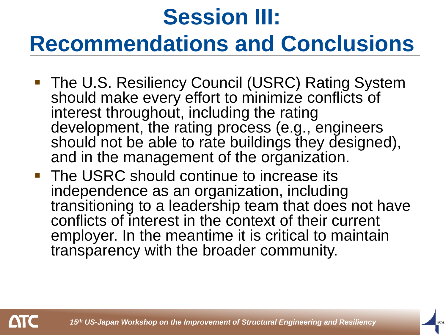# **Session III: Recommendations and Conclusions**

- The U.S. Resiliency Council (USRC) Rating System should make every effort to minimize conflicts of interest throughout, including the rating development, the rating process (e.g., engineers should not be able to rate buildings they designed), and in the management of the organization.
- **The USRC should continue to increase its** independence as an organization, including transitioning to a leadership team that does not have conflicts of interest in the context of their current employer. In the meantime it is critical to maintain transparency with the broader community.

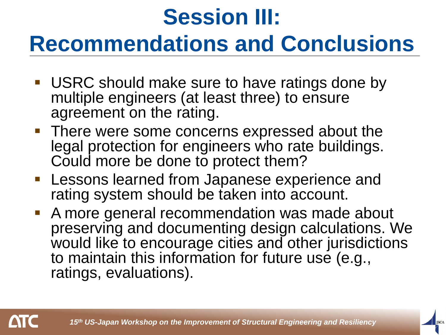# **Session III:**

### **Recommendations and Conclusions**

- **USRC should make sure to have ratings done by** multiple engineers (at least three) to ensure agreement on the rating.
- **There were some concerns expressed about the** legal protection for engineers who rate buildings. Could more be done to protect them?
- **Lessons learned from Japanese experience and** rating system should be taken into account.
- A more general recommendation was made about preserving and documenting design calculations. We would like to encourage cities and other jurisdictions to maintain this information for future use (e.g., ratings, evaluations).

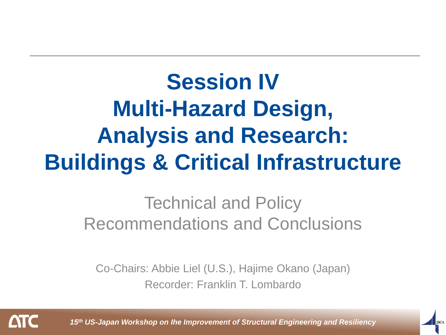# **Session IV Multi-Hazard Design, Analysis and Research: Buildings & Critical Infrastructure**

Technical and Policy Recommendations and Conclusions

Co-Chairs: Abbie Liel (U.S.), Hajime Okano (Japan) Recorder: Franklin T. Lombardo

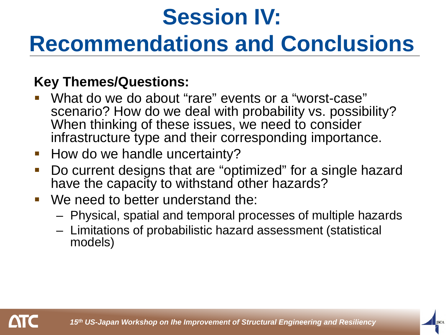# **Session IV: Recommendations and Conclusions**

#### **Key Themes/Questions:**

- What do we do about "rare" events or a "worst-case" scenario? How do we deal with probability vs. possibility? When thinking of these issues, we need to consider infrastructure type and their corresponding importance.
- **How do we handle uncertainty?**
- Do current designs that are "optimized" for a single hazard have the capacity to withstand other hazards?
- We need to better understand the:
	- Physical, spatial and temporal processes of multiple hazards
	- Limitations of probabilistic hazard assessment (statistical models)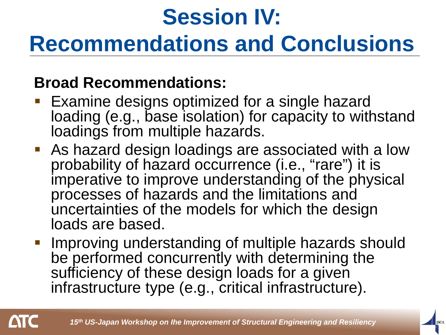### **Recommendations and Conclusions**

#### **Broad Recommendations:**

- Examine designs optimized for a single hazard loading (e.g., base isolation) for capacity to withstand loadings from multiple hazards.
- As hazard design loadings are associated with a low probability of hazard occurrence (i.e., "rare") it is imperative to improve understanding of the physical processes of hazards and the limitations and uncertainties of the models for which the design loads are based.
- Improving understanding of multiple hazards should be performed concurrently with determining the sufficiency of these design loads for a given infrastructure type (e.g., critical infrastructure).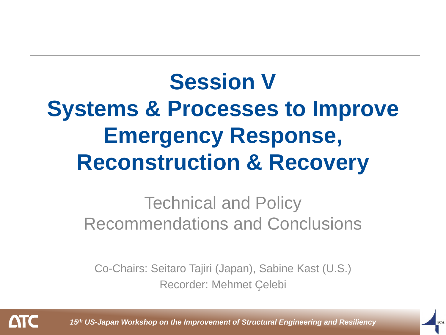## **Session V Systems & Processes to Improve Emergency Response, Reconstruction & Recovery**

#### Technical and Policy Recommendations and Conclusions

Co-Chairs: Seitaro Tajiri (Japan), Sabine Kast (U.S.) Recorder: Mehmet Çelebi

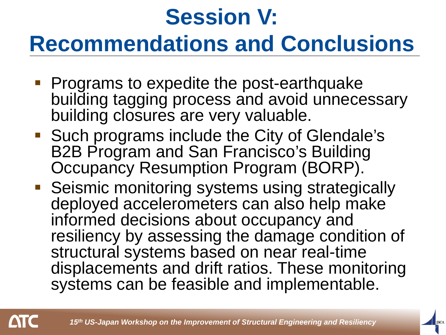# **Session V: Recommendations and Conclusions**

- **Programs to expedite the post-earthquake** building tagging process and avoid unnecessary building closures are very valuable.
- **Such programs include the City of Glendale's** B2B Program and San Francisco's Building Occupancy Resumption Program (BORP).
- **Seismic monitoring systems using strategically** deployed accelerometers can also help make informed decisions about occupancy and resiliency by assessing the damage condition of structural systems based on near real-time displacements and drift ratios. These monitoring systems can be feasible and implementable.

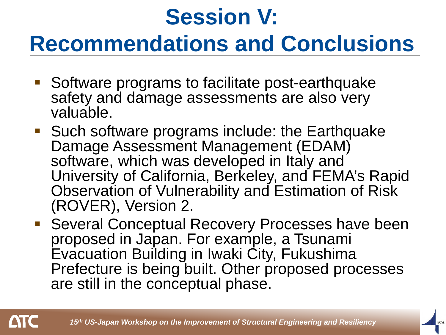### **Recommendations and Conclusions**

- **Software programs to facilitate post-earthquake** safety and damage assessments are also very valuable.
- Such software programs include: the Earthquake Damage Assessment Management (EDAM) software, which was developed in Italy and University of California, Berkeley, and FEMA's Rapid Observation of Vulnerability and Estimation of Risk (ROVER), Version 2.
- Several Conceptual Recovery Processes have been proposed in Japan. For example, a Tsunami Evacuation Building in Iwaki City, Fukushima Prefecture is being built. Other proposed processes are still in the conceptual phase.

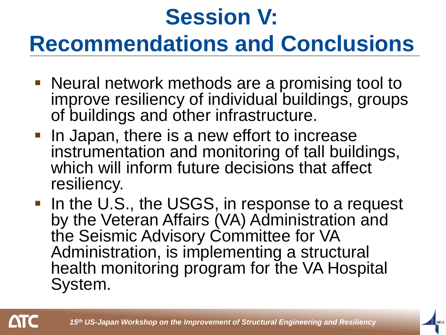# **Session V: Recommendations and Conclusions**

- Neural network methods are a promising tool to improve resiliency of individual buildings, groups of buildings and other infrastructure.
- **In Japan, there is a new effort to increase** instrumentation and monitoring of tall buildings, which will inform future decisions that affect resiliency.
- In the U.S., the USGS, in response to a request by the Veteran Affairs (VA) Administration and the Seismic Advisory Committee for VA Administration, is implementing a structural health monitoring program for the VA Hospital System.

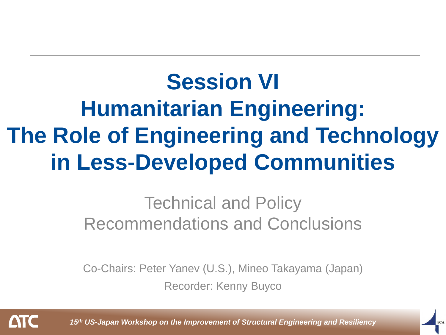# **Session VI Humanitarian Engineering: The Role of Engineering and Technology in Less-Developed Communities**

#### Technical and Policy Recommendations and Conclusions

Co-Chairs: Peter Yanev (U.S.), Mineo Takayama (Japan) Recorder: Kenny Buyco

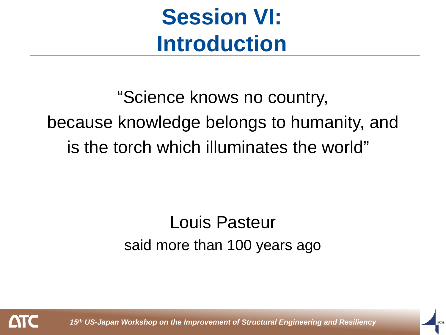## **Session VI: Introduction**

"Science knows no country, because knowledge belongs to humanity, and is the torch which illuminates the world"

#### Louis Pasteur said more than 100 years ago

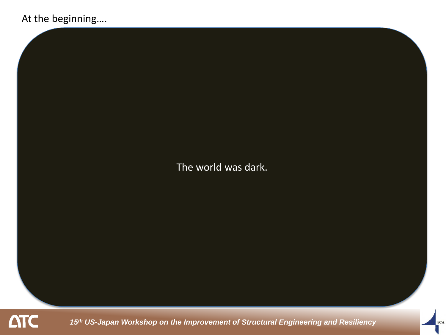#### At the beginning….

The world was dark.

**ATC** 

*15th US-Japan Workshop on the Improvement of Structural Engineering and Resiliency*

**JSCA**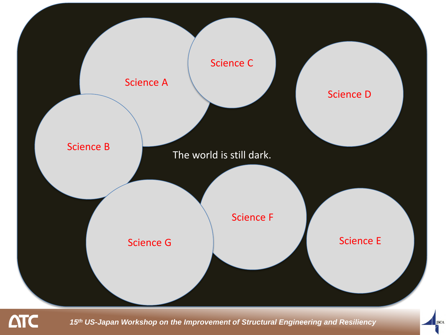

*15th US-Japan Workshop on the Improvement of Structural Engineering and Resiliency*

**JSCA**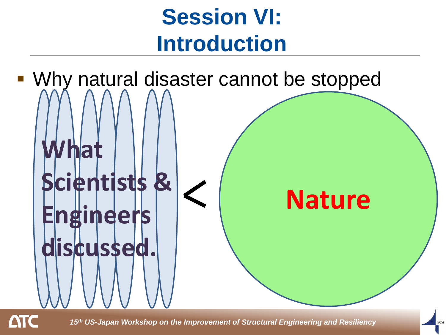## **Session VI: Introduction**



*15th US-Japan Workshop on the Improvement of Structural Engineering and Resiliency*

**JSCA**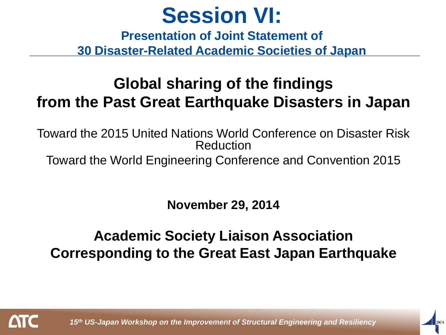**Presentation of Joint Statement of 30 Disaster-Related Academic Societies of Japan**

#### **Global sharing of the findings from the Past Great Earthquake Disasters in Japan**

Toward the 2015 United Nations World Conference on Disaster Risk Reduction

Toward the World Engineering Conference and Convention 2015

**November 29, 2014**

#### **Academic Society Liaison Association Corresponding to the Great East Japan Earthquake**

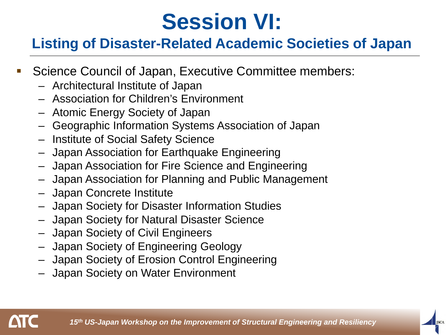#### **Listing of Disaster-Related Academic Societies of Japan**

- **Science Council of Japan, Executive Committee members:** 
	- Architectural Institute of Japan
	- Association for Children's Environment
	- Atomic Energy Society of Japan
	- Geographic Information Systems Association of Japan
	- Institute of Social Safety Science
	- Japan Association for Earthquake Engineering
	- Japan Association for Fire Science and Engineering
	- Japan Association for Planning and Public Management
	- Japan Concrete Institute
	- Japan Society for Disaster Information Studies
	- Japan Society for Natural Disaster Science
	- Japan Society of Civil Engineers
	- Japan Society of Engineering Geology
	- Japan Society of Erosion Control Engineering
	- Japan Society on Water Environment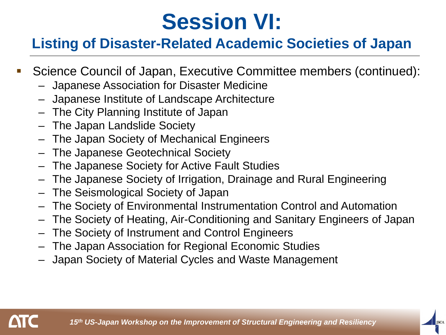#### **Listing of Disaster-Related Academic Societies of Japan**

- Science Council of Japan, Executive Committee members (continued):
	- Japanese Association for Disaster Medicine
	- Japanese Institute of Landscape Architecture
	- The City Planning Institute of Japan
	- The Japan Landslide Society
	- The Japan Society of Mechanical Engineers
	- The Japanese Geotechnical Society
	- The Japanese Society for Active Fault Studies
	- The Japanese Society of Irrigation, Drainage and Rural Engineering
	- The Seismological Society of Japan
	- The Society of Environmental Instrumentation Control and Automation
	- The Society of Heating, Air-Conditioning and Sanitary Engineers of Japan
	- The Society of Instrument and Control Engineers
	- The Japan Association for Regional Economic Studies
	- Japan Society of Material Cycles and Waste Management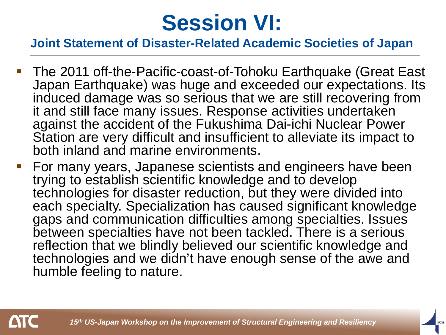#### **Joint Statement of Disaster-Related Academic Societies of Japan**

- The 2011 off-the-Pacific-coast-of-Tohoku Earthquake (Great East Japan Earthquake) was huge and exceeded our expectations. Its induced damage was so serious that we are still recovering from it and still face many issues. Response activities undertaken against the accident of the Fukushima Dai-ichi Nuclear Power Station are very difficult and insufficient to alleviate its impact to both inland and marine environments.
- **For many years, Japanese scientists and engineers have been** trying to establish scientific knowledge and to develop technologies for disaster reduction, but they were divided into each specialty. Specialization has caused significant knowledge gaps and communication difficulties among specialties. Issues between specialties have not been tackled. There is a serious reflection that we blindly believed our scientific knowledge and technologies and we didn't have enough sense of the awe and humble feeling to nature.

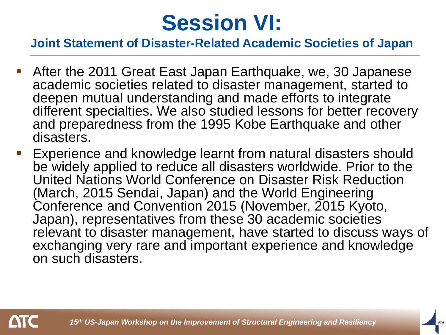#### **Joint Statement of Disaster-Related Academic Societies of Japan**

- After the 2011 Great East Japan Earthquake, we, 30 Japanese academic societies related to disaster management, started to deepen mutual understanding and made efforts to integrate different specialties. We also studied lessons for better recovery and preparedness from the 1995 Kobe Earthquake and other disasters.
- Experience and knowledge learnt from natural disasters should be widely applied to reduce all disasters worldwide. Prior to the United Nations World Conference on Disaster Risk Reduction (March, 2015 Sendai, Japan) and the World Engineering Conference and Convention 2015 (November, 2015 Kyoto, Japan), representatives from these 30 academic societies relevant to disaster management, have started to discuss ways of exchanging very rare and important experience and knowledge on such disasters.

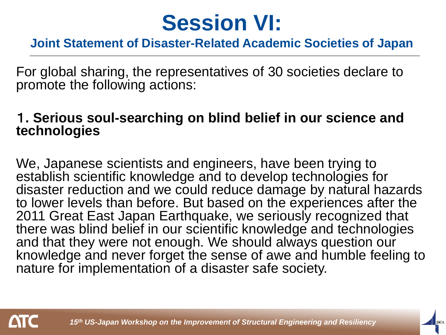#### **Joint Statement of Disaster-Related Academic Societies of Japan**

For global sharing, the representatives of 30 societies declare to promote the following actions:

#### 1**. Serious soul-searching on blind belief in our science and technologies**

We, Japanese scientists and engineers, have been trying to establish scientific knowledge and to develop technologies for disaster reduction and we could reduce damage by natural hazards to lower levels than before. But based on the experiences after the 2011 Great East Japan Earthquake, we seriously recognized that there was blind belief in our scientific knowledge and technologies and that they were not enough. We should always question our knowledge and never forget the sense of awe and humble feeling to nature for implementation of a disaster safe society.

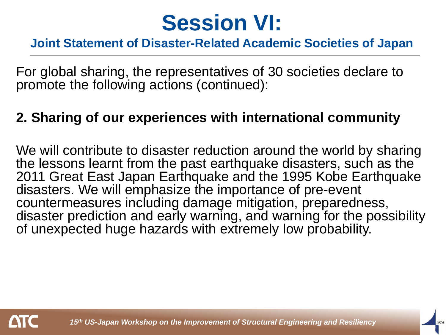#### **Joint Statement of Disaster-Related Academic Societies of Japan**

For global sharing, the representatives of 30 societies declare to promote the following actions (continued):

#### **2. Sharing of our experiences with international community**

We will contribute to disaster reduction around the world by sharing the lessons learnt from the past earthquake disasters, such as the 2011 Great East Japan Earthquake and the 1995 Kobe Earthquake disasters. We will emphasize the importance of pre-event countermeasures including damage mitigation, preparedness, disaster prediction and early warning, and warning for the possibility of unexpected huge hazards with extremely low probability.

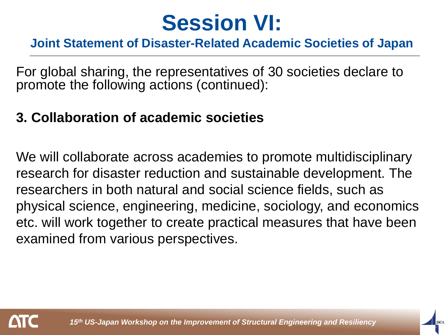#### **Joint Statement of Disaster-Related Academic Societies of Japan**

For global sharing, the representatives of 30 societies declare to promote the following actions (continued):

#### **3. Collaboration of academic societies**

We will collaborate across academies to promote multidisciplinary research for disaster reduction and sustainable development. The researchers in both natural and social science fields, such as physical science, engineering, medicine, sociology, and economics etc. will work together to create practical measures that have been examined from various perspectives.

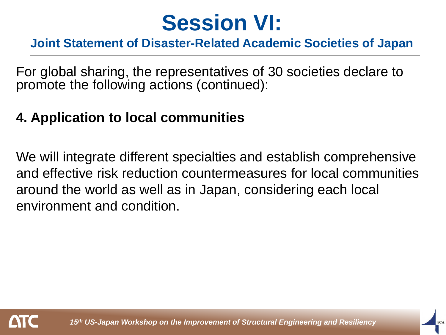#### **Joint Statement of Disaster-Related Academic Societies of Japan**

For global sharing, the representatives of 30 societies declare to promote the following actions (continued):

#### **4. Application to local communities**

We will integrate different specialties and establish comprehensive and effective risk reduction countermeasures for local communities around the world as well as in Japan, considering each local environment and condition.

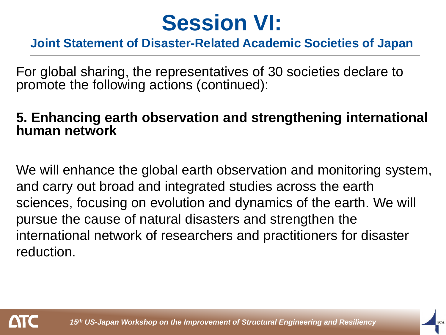#### **Joint Statement of Disaster-Related Academic Societies of Japan**

For global sharing, the representatives of 30 societies declare to promote the following actions (continued):

#### **5. Enhancing earth observation and strengthening international human network**

We will enhance the global earth observation and monitoring system, and carry out broad and integrated studies across the earth sciences, focusing on evolution and dynamics of the earth. We will pursue the cause of natural disasters and strengthen the international network of researchers and practitioners for disaster reduction.

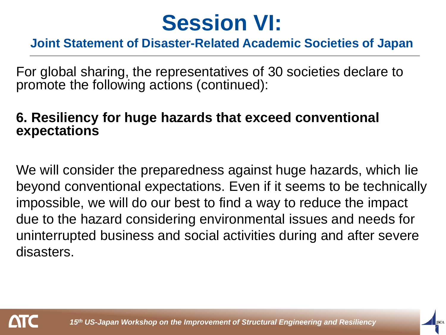#### **Joint Statement of Disaster-Related Academic Societies of Japan**

For global sharing, the representatives of 30 societies declare to promote the following actions (continued):

#### **6. Resiliency for huge hazards that exceed conventional expectations**

We will consider the preparedness against huge hazards, which lie beyond conventional expectations. Even if it seems to be technically impossible, we will do our best to find a way to reduce the impact due to the hazard considering environmental issues and needs for uninterrupted business and social activities during and after severe disasters.

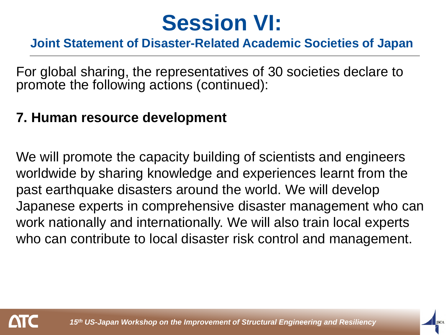#### **Joint Statement of Disaster-Related Academic Societies of Japan**

For global sharing, the representatives of 30 societies declare to promote the following actions (continued):

#### **7. Human resource development**

We will promote the capacity building of scientists and engineers worldwide by sharing knowledge and experiences learnt from the past earthquake disasters around the world. We will develop Japanese experts in comprehensive disaster management who can work nationally and internationally. We will also train local experts who can contribute to local disaster risk control and management.

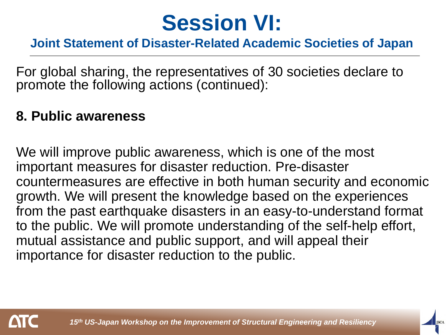#### **Joint Statement of Disaster-Related Academic Societies of Japan**

For global sharing, the representatives of 30 societies declare to promote the following actions (continued):

#### **8. Public awareness**

We will improve public awareness, which is one of the most important measures for disaster reduction. Pre-disaster countermeasures are effective in both human security and economic growth. We will present the knowledge based on the experiences from the past earthquake disasters in an easy-to-understand format to the public. We will promote understanding of the self-help effort, mutual assistance and public support, and will appeal their importance for disaster reduction to the public.